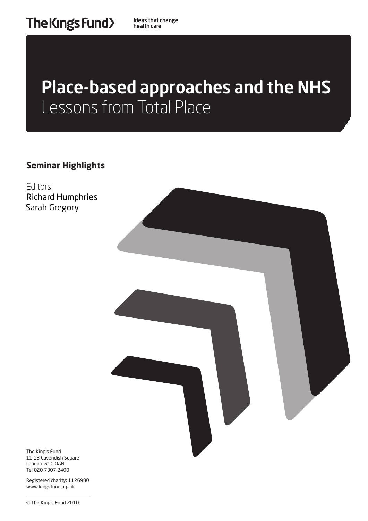# Place-based approaches and the NHS Lessons from Total Place

**Seminar Highlights**

Editors Richard Humphries Sarah Gregory



The King's Fund 11–13 Cavendish Square London W1G OAN Tel 020 7307 2400

Registered charity: 1126980 www.kingsfund.org.uk

© The King's Fund 2010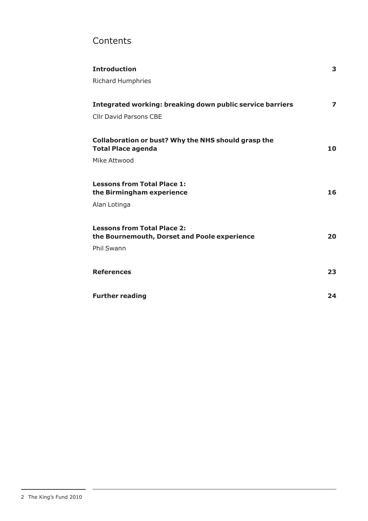# **Contents**

| <b>Introduction</b>                                                                     | 3  |
|-----------------------------------------------------------------------------------------|----|
| <b>Richard Humphries</b>                                                                |    |
|                                                                                         |    |
| <b>Integrated working: breaking down public service barriers</b>                        | 7  |
| <b>Cllr David Parsons CBE</b>                                                           |    |
|                                                                                         |    |
| <b>Collaboration or bust? Why the NHS should grasp the</b><br><b>Total Place agenda</b> | 10 |
| Mike Attwood                                                                            |    |
|                                                                                         |    |
| <b>Lessons from Total Place 1:</b><br>the Birmingham experience                         | 16 |
| Alan Lotinga                                                                            |    |
|                                                                                         |    |
| <b>Lessons from Total Place 2:</b><br>the Bournemouth, Dorset and Poole experience      | 20 |
| Phil Swann                                                                              |    |
|                                                                                         |    |
| <b>References</b>                                                                       | 23 |
|                                                                                         |    |
| <b>Further reading</b>                                                                  | 24 |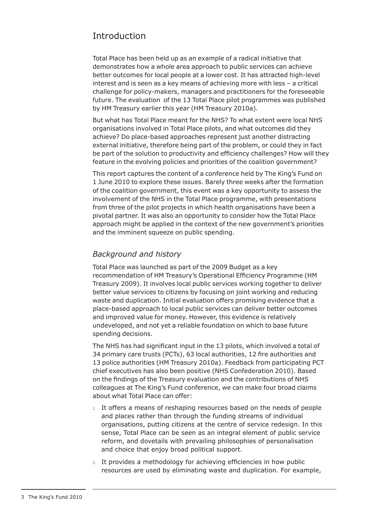# Introduction

Total Place has been held up as an example of a radical initiative that demonstrates how a whole area approach to public services can achieve better outcomes for local people at a lower cost. It has attracted high-level interest and is seen as a key means of achieving more with less – a critical challenge for policy-makers, managers and practitioners for the foreseeable future. The evaluation of the 13 Total Place pilot programmes was published by HM Treasury earlier this year (HM Treasury 2010a).

But what has Total Place meant for the NHS? To what extent were local NHS organisations involved in Total Place pilots, and what outcomes did they achieve? Do place-based approaches represent just another distracting external initiative, therefore being part of the problem, or could they in fact be part of the solution to productivity and efficiency challenges? How will they feature in the evolving policies and priorities of the coalition government?

This report captures the content of a conference held by The King's Fund on 1 June 2010 to explore these issues. Barely three weeks after the formation of the coalition government, this event was a key opportunity to assess the involvement of the NHS in the Total Place programme, with presentations from three of the pilot projects in which health organisations have been a pivotal partner. It was also an opportunity to consider how the Total Place approach might be applied in the context of the new government's priorities and the imminent squeeze on public spending.

# *Background and history*

Total Place was launched as part of the 2009 Budget as a key recommendation of HM Treasury's Operational Efficiency Programme (HM Treasury 2009). It involves local public services working together to deliver better value services to citizens by focusing on joint working and reducing waste and duplication. Initial evaluation offers promising evidence that a place-based approach to local public services can deliver better outcomes and improved value for money. However, this evidence is relatively undeveloped, and not yet a reliable foundation on which to base future spending decisions.

The NHS has had significant input in the 13 pilots, which involved a total of 34 primary care trusts (PCTs), 63 local authorities, 12 fire authorities and 13 police authorities (HM Treasury 2010a). Feedback from participating PCT chief executives has also been positive (NHS Confederation 2010). Based on the findings of the Treasury evaluation and the contributions of NHS colleagues at The King's Fund conference, we can make four broad claims about what Total Place can offer:

- 1. It offers a means of reshaping resources based on the needs of people and places rather than through the funding streams of individual organisations, putting citizens at the centre of service redesign. In this sense, Total Place can be seen as an integral element of public service reform, and dovetails with prevailing philosophies of personalisation and choice that enjoy broad political support.
- 2. It provides a methodology for achieving efficiencies in how public resources are used by eliminating waste and duplication. For example,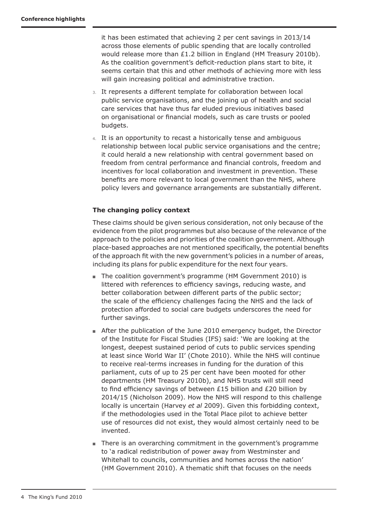it has been estimated that achieving 2 per cent savings in 2013/14 across those elements of public spending that are locally controlled would release more than £1.2 billion in England (HM Treasury 2010b). As the coalition government's deficit-reduction plans start to bite, it seems certain that this and other methods of achieving more with less will gain increasing political and administrative traction.

- 3. It represents a different template for collaboration between local public service organisations, and the joining up of health and social care services that have thus far eluded previous initiatives based on organisational or financial models, such as care trusts or pooled budgets.
- 4. It is an opportunity to recast a historically tense and ambiguous relationship between local public service organisations and the centre; it could herald a new relationship with central government based on freedom from central performance and financial controls, freedom and incentives for local collaboration and investment in prevention. These benefits are more relevant to local government than the NHS, where policy levers and governance arrangements are substantially different.

### **The changing policy context**

These claims should be given serious consideration, not only because of the evidence from the pilot programmes but also because of the relevance of the approach to the policies and priorities of the coalition government. Although place-based approaches are not mentioned specifically, the potential benefits of the approach fit with the new government's policies in a number of areas, including its plans for public expenditure for the next four years.

- The coalition government's programme (HM Government 2010) is littered with references to efficiency savings, reducing waste, and better collaboration between different parts of the public sector; the scale of the efficiency challenges facing the NHS and the lack of protection afforded to social care budgets underscores the need for further savings.
- After the publication of the June 2010 emergency budget, the Director of the Institute for Fiscal Studies (IFS) said: 'We are looking at the longest, deepest sustained period of cuts to public services spending at least since World War II' (Chote 2010). While the NHS will continue to receive real-terms increases in funding for the duration of this parliament, cuts of up to 25 per cent have been mooted for other departments (HM Treasury 2010b), and NHS trusts will still need to find efficiency savings of between £15 billion and £20 billion by 2014/15 (Nicholson 2009). How the NHS will respond to this challenge locally is uncertain (Harvey *et al* 2009). Given this forbidding context, if the methodologies used in the Total Place pilot to achieve better use of resources did not exist, they would almost certainly need to be invented.
- There is an overarching commitment in the government's programme to 'a radical redistribution of power away from Westminster and Whitehall to councils, communities and homes across the nation' (HM Government 2010). A thematic shift that focuses on the needs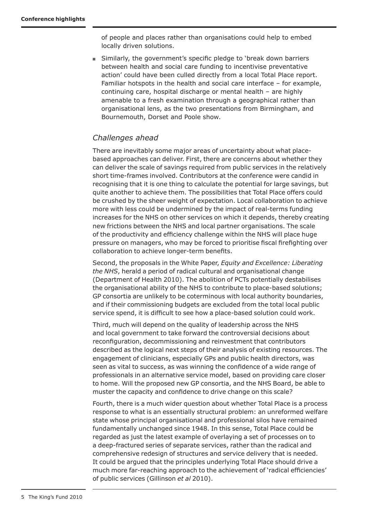of people and places rather than organisations could help to embed locally driven solutions.

■ Similarly, the government's specific pledge to 'break down barriers between health and social care funding to incentivise preventative action' could have been culled directly from a local Total Place report. Familiar hotspots in the health and social care interface – for example, continuing care, hospital discharge or mental health – are highly amenable to a fresh examination through a geographical rather than organisational lens, as the two presentations from Birmingham, and Bournemouth, Dorset and Poole show.

# *Challenges ahead*

There are inevitably some major areas of uncertainty about what placebased approaches can deliver. First, there are concerns about whether they can deliver the scale of savings required from public services in the relatively short time-frames involved. Contributors at the conference were candid in recognising that it is one thing to calculate the potential for large savings, but quite another to achieve them. The possibilities that Total Place offers could be crushed by the sheer weight of expectation. Local collaboration to achieve more with less could be undermined by the impact of real-terms funding increases for the NHS on other services on which it depends, thereby creating new frictions between the NHS and local partner organisations. The scale of the productivity and efficiency challenge within the NHS will place huge pressure on managers, who may be forced to prioritise fiscal firefighting over collaboration to achieve longer-term benefits.

Second, the proposals in the White Paper, *Equity and Excellence: Liberating the NHS*, herald a period of radical cultural and organisational change (Department of Health 2010). The abolition of PCTs potentially destabilises the organisational ability of the NHS to contribute to place-based solutions; GP consortia are unlikely to be coterminous with local authority boundaries, and if their commissioning budgets are excluded from the total local public service spend, it is difficult to see how a place-based solution could work.

Third, much will depend on the quality of leadership across the NHS and local government to take forward the controversial decisions about reconfiguration, decommissioning and reinvestment that contributors described as the logical next steps of their analysis of existing resources. The engagement of clinicians, especially GPs and public health directors, was seen as vital to success, as was winning the confidence of a wide range of professionals in an alternative service model, based on providing care closer to home. Will the proposed new GP consortia, and the NHS Board, be able to muster the capacity and confidence to drive change on this scale?

Fourth, there is a much wider question about whether Total Place is a process response to what is an essentially structural problem: an unreformed welfare state whose principal organisational and professional silos have remained fundamentally unchanged since 1948. In this sense, Total Place could be regarded as just the latest example of overlaying a set of processes on to a deep-fractured series of separate services, rather than the radical and comprehensive redesign of structures and service delivery that is needed. It could be argued that the principles underlying Total Place should drive a much more far-reaching approach to the achievement of 'radical efficiencies' of public services (Gillinson *et al* 2010).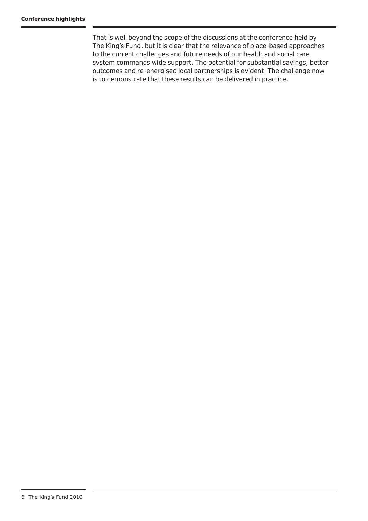That is well beyond the scope of the discussions at the conference held by The King's Fund, but it is clear that the relevance of place-based approaches to the current challenges and future needs of our health and social care system commands wide support. The potential for substantial savings, better outcomes and re-energised local partnerships is evident. The challenge now is to demonstrate that these results can be delivered in practice.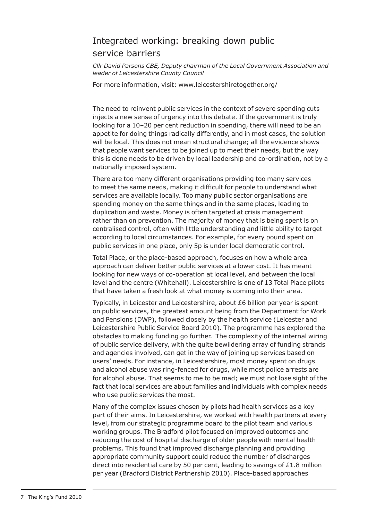# Integrated working: breaking down public service barriers

*Cllr David Parsons CBE, Deputy chairman of the Local Government Association and leader of Leicestershire County Council* 

For more information, visit: www.leicestershiretogether.org/

The need to reinvent public services in the context of severe spending cuts injects a new sense of urgency into this debate. If the government is truly looking for a 10–20 per cent reduction in spending, there will need to be an appetite for doing things radically differently, and in most cases, the solution will be local. This does not mean structural change; all the evidence shows that people want services to be joined up to meet their needs, but the way this is done needs to be driven by local leadership and co-ordination, not by a nationally imposed system.

There are too many different organisations providing too many services to meet the same needs, making it difficult for people to understand what services are available locally. Too many public sector organisations are spending money on the same things and in the same places, leading to duplication and waste. Money is often targeted at crisis management rather than on prevention. The majority of money that is being spent is on centralised control, often with little understanding and little ability to target according to local circumstances. For example, for every pound spent on public services in one place, only 5p is under local democratic control.

Total Place, or the place-based approach, focuses on how a whole area approach can deliver better public services at a lower cost. It has meant looking for new ways of co-operation at local level, and between the local level and the centre (Whitehall). Leicestershire is one of 13 Total Place pilots that have taken a fresh look at what money is coming into their area.

Typically, in Leicester and Leicestershire, about £6 billion per year is spent on public services, the greatest amount being from the Department for Work and Pensions (DWP), followed closely by the health service (Leicester and Leicestershire Public Service Board 2010). The programme has explored the obstacles to making funding go further. The complexity of the internal wiring of public service delivery, with the quite bewildering array of funding strands and agencies involved, can get in the way of joining up services based on users' needs. For instance, in Leicestershire, most money spent on drugs and alcohol abuse was ring-fenced for drugs, while most police arrests are for alcohol abuse. That seems to me to be mad; we must not lose sight of the fact that local services are about families and individuals with complex needs who use public services the most.

Many of the complex issues chosen by pilots had health services as a key part of their aims. In Leicestershire, we worked with health partners at every level, from our strategic programme board to the pilot team and various working groups. The Bradford pilot focused on improved outcomes and reducing the cost of hospital discharge of older people with mental health problems. This found that improved discharge planning and providing appropriate community support could reduce the number of discharges direct into residential care by 50 per cent, leading to savings of £1.8 million per year (Bradford District Partnership 2010). Place-based approaches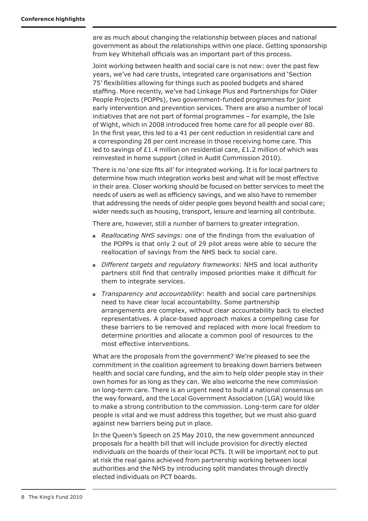are as much about changing the relationship between places and national government as about the relationships within one place. Getting sponsorship from key Whitehall officials was an important part of this process.

Joint working between health and social care is not new: over the past few years, we've had care trusts, integrated care organisations and 'Section 75' flexibilities allowing for things such as pooled budgets and shared staffing. More recently, we've had Linkage Plus and Partnerships for Older People Projects (POPPs), two government-funded programmes for joint early intervention and prevention services. There are also a number of local initiatives that are not part of formal programmes – for example, the Isle of Wight, which in 2008 introduced free home care for all people over 80. In the first year, this led to a 41 per cent reduction in residential care and a corresponding 28 per cent increase in those receiving home care. This led to savings of £1.4 million on residential care, £1.2 million of which was reinvested in home support (cited in Audit Commission 2010).

There is no 'one size fits all' for integrated working. It is for local partners to determine how much integration works best and what will be most effective in their area. Closer working should be focused on better services to meet the needs of users as well as efficiency savings, and we also have to remember that addressing the needs of older people goes beyond health and social care; wider needs such as housing, transport, leisure and learning all contribute.

There are, however, still a number of barriers to greater integration.

- *Reallocating NHS savings*: one of the findings from the evaluation of the POPPs is that only 2 out of 29 pilot areas were able to secure the reallocation of savings from the NHS back to social care.
- *Different targets and regulatory frameworks*: NHS and local authority partners still find that centrally imposed priorities make it difficult for them to integrate services.
- *Transparency and accountability*: health and social care partnerships need to have clear local accountability. Some partnership arrangements are complex, without clear accountability back to elected representatives. A place-based approach makes a compelling case for these barriers to be removed and replaced with more local freedom to determine priorities and allocate a common pool of resources to the most effective interventions.

What are the proposals from the government? We're pleased to see the commitment in the coalition agreement to breaking down barriers between health and social care funding, and the aim to help older people stay in their own homes for as long as they can. We also welcome the new commission on long-term care. There is an urgent need to build a national consensus on the way forward, and the Local Government Association (LGA) would like to make a strong contribution to the commission. Long-term care for older people is vital and we must address this together, but we must also guard against new barriers being put in place.

In the Queen's Speech on 25 May 2010, the new government announced proposals for a health bill that will include provision for directly elected individuals on the boards of their local PCTs. It will be important not to put at risk the real gains achieved from partnership working between local authorities and the NHS by introducing split mandates through directly elected individuals on PCT boards.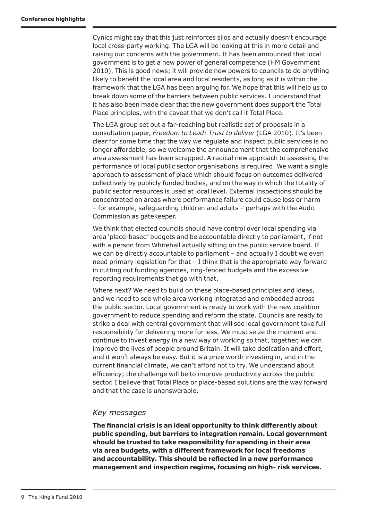Cynics might say that this just reinforces silos and actually doesn't encourage local cross-party working. The LGA will be looking at this in more detail and raising our concerns with the government. It has been announced that local government is to get a new power of general competence (HM Government 2010). This is good news; it will provide new powers to councils to do anything likely to benefit the local area and local residents, as long as it is within the framework that the LGA has been arguing for. We hope that this will help us to break down some of the barriers between public services. I understand that it has also been made clear that the new government does support the Total Place principles, with the caveat that we don't call it Total Place.

The LGA group set out a far-reaching but realistic set of proposals in a consultation paper, *Freedom to Lead: Trust to deliver* (LGA 2010). It's been clear for some time that the way we regulate and inspect public services is no longer affordable, so we welcome the announcement that the comprehensive area assessment has been scrapped. A radical new approach to assessing the performance of local public sector organisations is required. We want a single approach to assessment of place which should focus on outcomes delivered collectively by publicly funded bodies, and on the way in which the totality of public sector resources is used at local level. External inspections should be concentrated on areas where performance failure could cause loss or harm – for example, safeguarding children and adults – perhaps with the Audit Commission as gatekeeper.

We think that elected councils should have control over local spending via area 'place-based' budgets and be accountable directly to parliament, if not with a person from Whitehall actually sitting on the public service board. If we can be directly accountable to parliament – and actually I doubt we even need primary legislation for that – I think that is the appropriate way forward in cutting out funding agencies, ring-fenced budgets and the excessive reporting requirements that go with that.

Where next? We need to build on these place-based principles and ideas, and we need to see whole area working integrated and embedded across the public sector. Local government is ready to work with the new coalition government to reduce spending and reform the state. Councils are ready to strike a deal with central government that will see local government take full responsibility for delivering more for less. We must seize the moment and continue to invest energy in a new way of working so that, together, we can improve the lives of people around Britain. It will take dedication and effort, and it won't always be easy. But it is a prize worth investing in, and in the current financial climate, we can't afford not to try. We understand about efficiency; the challenge will be to improve productivity across the public sector. I believe that Total Place or place-based solutions are the way forward and that the case is unanswerable.

### *Key messages*

**The financial crisis is an ideal opportunity to think differently about public spending, but barriers to integration remain. Local government should be trusted to take responsibility for spending in their area via area budgets, with a different framework for local freedoms and accountability. This should be reflected in a new performance management and inspection regime, focusing on high- risk services.**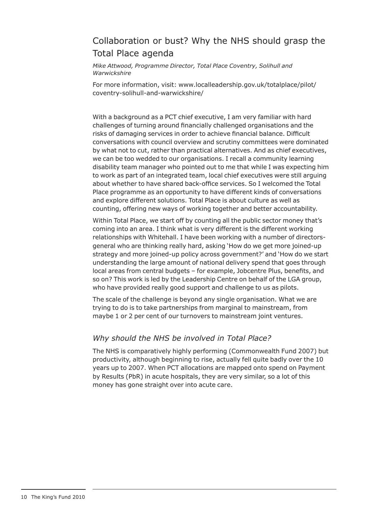# Collaboration or bust? Why the NHS should grasp the Total Place agenda

*Mike Attwood, Programme Director, Total Place Coventry, Solihull and Warwickshire*

For more information, visit: www.localleadership.gov.uk/totalplace/pilot/ coventry-solihull-and-warwickshire/

With a background as a PCT chief executive, I am very familiar with hard challenges of turning around financially challenged organisations and the risks of damaging services in order to achieve financial balance. Difficult conversations with council overview and scrutiny committees were dominated by what not to cut, rather than practical alternatives. And as chief executives, we can be too wedded to our organisations. I recall a community learning disability team manager who pointed out to me that while I was expecting him to work as part of an integrated team, local chief executives were still arguing about whether to have shared back-office services. So I welcomed the Total Place programme as an opportunity to have different kinds of conversations and explore different solutions. Total Place is about culture as well as counting, offering new ways of working together and better accountability.

Within Total Place, we start off by counting all the public sector money that's coming into an area. I think what is very different is the different working relationships with Whitehall. I have been working with a number of directorsgeneral who are thinking really hard, asking 'How do we get more joined-up strategy and more joined-up policy across government?' and 'How do we start understanding the large amount of national delivery spend that goes through local areas from central budgets – for example, Jobcentre Plus, benefits, and so on? This work is led by the Leadership Centre on behalf of the LGA group, who have provided really good support and challenge to us as pilots.

The scale of the challenge is beyond any single organisation. What we are trying to do is to take partnerships from marginal to mainstream, from maybe 1 or 2 per cent of our turnovers to mainstream joint ventures.

# *Why should the NHS be involved in Total Place?*

The NHS is comparatively highly performing (Commonwealth Fund 2007) but productivity, although beginning to rise, actually fell quite badly over the 10 years up to 2007. When PCT allocations are mapped onto spend on Payment by Results (PbR) in acute hospitals, they are very similar, so a lot of this money has gone straight over into acute care.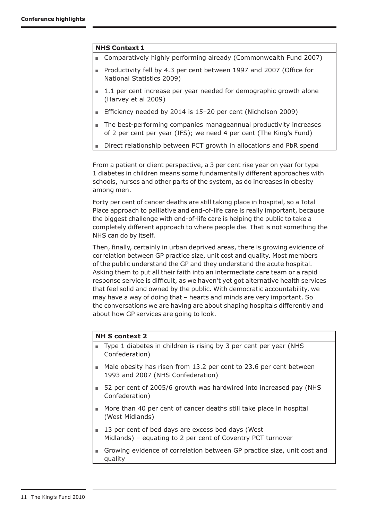### **NHS Context 1**

- Comparatively highly performing already (Commonwealth Fund 2007)
- Productivity fell by 4.3 per cent between 1997 and 2007 (Office for National Statistics 2009)
- 1.1 per cent increase per year needed for demographic growth alone (Harvey et al 2009)
- Efficiency needed by 2014 is 15-20 per cent (Nicholson 2009)
- The best-performing companies manageannual productivity increases of 2 per cent per year (IFS); we need 4 per cent (The King's Fund)
- Direct relationship between PCT growth in allocations and PbR spend

From a patient or client perspective, a 3 per cent rise year on year for type 1 diabetes in children means some fundamentally different approaches with schools, nurses and other parts of the system, as do increases in obesity among men.

Forty per cent of cancer deaths are still taking place in hospital, so a Total Place approach to palliative and end-of-life care is really important, because the biggest challenge with end-of-life care is helping the public to take a completely different approach to where people die. That is not something the NHS can do by itself.

Then, finally, certainly in urban deprived areas, there is growing evidence of correlation between GP practice size, unit cost and quality. Most members of the public understand the GP and they understand the acute hospital. Asking them to put all their faith into an intermediate care team or a rapid response service is difficult, as we haven't yet got alternative health services that feel solid and owned by the public. With democratic accountability, we may have a way of doing that – hearts and minds are very important. So the conversations we are having are about shaping hospitals differently and about how GP services are going to look.

### **NH S context 2**

- Type 1 diabetes in children is rising by 3 per cent per year (NHS Confederation)
- Male obesity has risen from 13.2 per cent to 23.6 per cent between 1993 and 2007 (NHS Confederation)
- 52 per cent of 2005/6 growth was hardwired into increased pay (NHS Confederation)
- More than 40 per cent of cancer deaths still take place in hospital (West Midlands)
- 13 per cent of bed days are excess bed days (West Midlands) – equating to 2 per cent of Coventry PCT turnover
- Growing evidence of correlation between GP practice size, unit cost and quality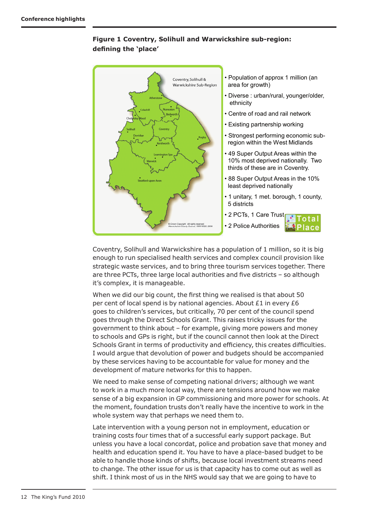#### **The Place** • Population of approx 1 million (an Coventry, Solihull & Warwickshire Sub-Region area for growth) • Diverse : urban/rural, younger/older, ethnicity • Centre of road and rail network • Existing partnership working Solihull Coventry • Strongest performing economic sub-Do region within the West Midlands Kenilworth • 49 Super Output Areas within the 10% most deprived nationally. Two thirds of these are in Coventry. • 88 Super Output Areas in the 10% Stratford-upon-Avor least deprived nationally • 1 unitary, 1 met. borough, 1 county, 5 districts • 2 PCTs, 1 Care Trust .<br>Copyright. All rights reserved.<br>vire County Council, 100019520. • 2 Police Authorities

**Figure 1 Coventry, Solihull and Warwickshire sub-region: defining the 'place'**

Coventry, Solihull and Warwickshire has a population of 1 million, so it is big enough to run specialised health services and complex council provision like strategic waste services, and to bring three tourism services together. There are three PCTs, three large local authorities and five districts – so although it's complex, it is manageable.

When we did our big count, the first thing we realised is that about 50 per cent of local spend is by national agencies. About £1 in every £6 goes to children's services, but critically, 70 per cent of the council spend goes through the Direct Schools Grant. This raises tricky issues for the government to think about – for example, giving more powers and money to schools and GPs is right, but if the council cannot then look at the Direct Schools Grant in terms of productivity and efficiency, this creates difficulties. I would argue that devolution of power and budgets should be accompanied by these services having to be accountable for value for money and the development of mature networks for this to happen.

We need to make sense of competing national drivers; although we want to work in a much more local way, there are tensions around how we make sense of a big expansion in GP commissioning and more power for schools. At the moment, foundation trusts don't really have the incentive to work in the whole system way that perhaps we need them to.

Late intervention with a young person not in employment, education or training costs four times that of a successful early support package. But unless you have a local concordat, police and probation save that money and health and education spend it. You have to have a place-based budget to be able to handle those kinds of shifts, because local investment streams need to change. The other issue for us is that capacity has to come out as well as shift. I think most of us in the NHS would say that we are going to have to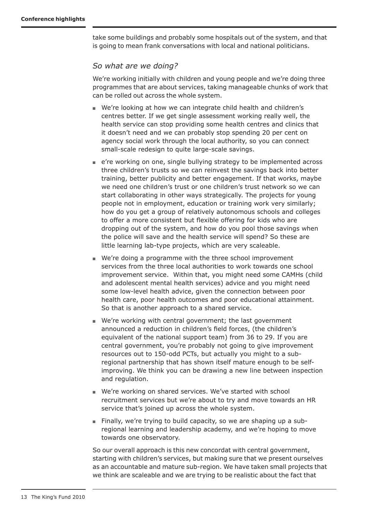take some buildings and probably some hospitals out of the system, and that is going to mean frank conversations with local and national politicians.

### *So what are we doing?*

We're working initially with children and young people and we're doing three programmes that are about services, taking manageable chunks of work that can be rolled out across the whole system.

- We're looking at how we can integrate child health and children's centres better. If we get single assessment working really well, the health service can stop providing some health centres and clinics that it doesn't need and we can probably stop spending 20 per cent on agency social work through the local authority, so you can connect small-scale redesign to quite large-scale savings.
- e're working on one, single bullying strategy to be implemented across three children's trusts so we can reinvest the savings back into better training, better publicity and better engagement. If that works, maybe we need one children's trust or one children's trust network so we can start collaborating in other ways strategically. The projects for young people not in employment, education or training work very similarly; how do you get a group of relatively autonomous schools and colleges to offer a more consistent but flexible offering for kids who are dropping out of the system, and how do you pool those savings when the police will save and the health service will spend? So these are little learning lab-type projects, which are very scaleable.
- We're doing a programme with the three school improvement services from the three local authorities to work towards one school improvement service. Within that, you might need some CAMHs (child and adolescent mental health services) advice and you might need some low-level health advice, given the connection between poor health care, poor health outcomes and poor educational attainment. So that is another approach to a shared service.
- We're working with central government; the last government announced a reduction in children's field forces, (the children's equivalent of the national support team) from 36 to 29. If you are central government, you're probably not going to give improvement resources out to 150-odd PCTs, but actually you might to a subregional partnership that has shown itself mature enough to be selfimproving. We think you can be drawing a new line between inspection and regulation.
- We're working on shared services. We've started with school recruitment services but we're about to try and move towards an HR service that's joined up across the whole system.
- Finally, we're trying to build capacity, so we are shaping up a subregional learning and leadership academy, and we're hoping to move towards one observatory.

So our overall approach is this new concordat with central government, starting with children's services, but making sure that we present ourselves as an accountable and mature sub-region. We have taken small projects that we think are scaleable and we are trying to be realistic about the fact that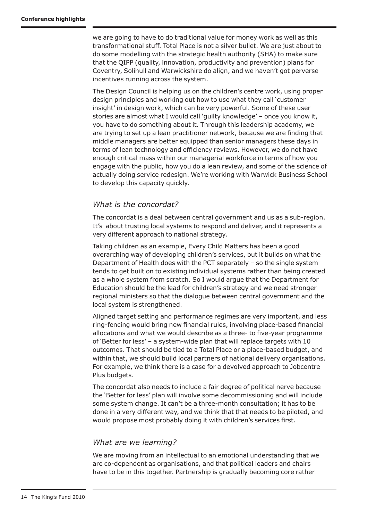we are going to have to do traditional value for money work as well as this transformational stuff. Total Place is not a silver bullet. We are just about to do some modelling with the strategic health authority (SHA) to make sure that the QIPP (quality, innovation, productivity and prevention) plans for Coventry, Solihull and Warwickshire do align, and we haven't got perverse incentives running across the system.

The Design Council is helping us on the children's centre work, using proper design principles and working out how to use what they call 'customer insight' in design work, which can be very powerful. Some of these user stories are almost what I would call 'guilty knowledge' – once you know it, you have to do something about it. Through this leadership academy, we are trying to set up a lean practitioner network, because we are finding that middle managers are better equipped than senior managers these days in terms of lean technology and efficiency reviews. However, we do not have enough critical mass within our managerial workforce in terms of how you engage with the public, how you do a lean review, and some of the science of actually doing service redesign. We're working with Warwick Business School to develop this capacity quickly.

# *What is the concordat?*

The concordat is a deal between central government and us as a sub-region. It's about trusting local systems to respond and deliver, and it represents a very different approach to national strategy.

Taking children as an example, Every Child Matters has been a good overarching way of developing children's services, but it builds on what the Department of Health does with the PCT separately – so the single system tends to get built on to existing individual systems rather than being created as a whole system from scratch. So I would argue that the Department for Education should be the lead for children's strategy and we need stronger regional ministers so that the dialogue between central government and the local system is strengthened.

Aligned target setting and performance regimes are very important, and less ring-fencing would bring new financial rules, involving place-based financial allocations and what we would describe as a three- to five-year programme of 'Better for less' – a system-wide plan that will replace targets with 10 outcomes. That should be tied to a Total Place or a place-based budget, and within that, we should build local partners of national delivery organisations. For example, we think there is a case for a devolved approach to Jobcentre Plus budgets.

The concordat also needs to include a fair degree of political nerve because the 'Better for less' plan will involve some decommissioning and will include some system change. It can't be a three-month consultation; it has to be done in a very different way, and we think that that needs to be piloted, and would propose most probably doing it with children's services first.

# *What are we learning?*

We are moving from an intellectual to an emotional understanding that we are co-dependent as organisations, and that political leaders and chairs have to be in this together. Partnership is gradually becoming core rather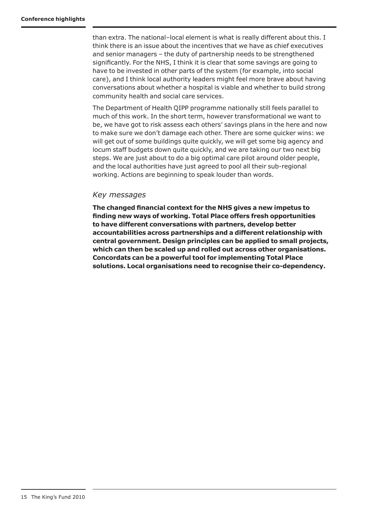than extra. The national–local element is what is really different about this. I think there is an issue about the incentives that we have as chief executives and senior managers – the duty of partnership needs to be strengthened significantly. For the NHS, I think it is clear that some savings are going to have to be invested in other parts of the system (for example, into social care), and I think local authority leaders might feel more brave about having conversations about whether a hospital is viable and whether to build strong community health and social care services.

The Department of Health QIPP programme nationally still feels parallel to much of this work. In the short term, however transformational we want to be, we have got to risk assess each others' savings plans in the here and now to make sure we don't damage each other. There are some quicker wins: we will get out of some buildings quite quickly, we will get some big agency and locum staff budgets down quite quickly, and we are taking our two next big steps. We are just about to do a big optimal care pilot around older people, and the local authorities have just agreed to pool all their sub-regional working. Actions are beginning to speak louder than words.

### *Key messages*

**The changed financial context for the NHS gives a new impetus to finding new ways of working. Total Place offers fresh opportunities to have different conversations with partners, develop better accountabilities across partnerships and a different relationship with central government. Design principles can be applied to small projects, which can then be scaled up and rolled out across other organisations. Concordats can be a powerful tool for implementing Total Place solutions. Local organisations need to recognise their co-dependency.**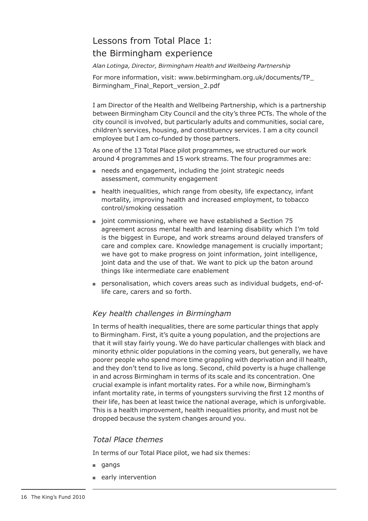# Lessons from Total Place 1: the Birmingham experience

*Alan Lotinga, Director, Birmingham Health and Wellbeing Partnership*

For more information, visit: www.bebirmingham.org.uk/documents/TP\_ Birmingham\_Final\_Report\_version\_2.pdf

I am Director of the Health and Wellbeing Partnership, which is a partnership between Birmingham City Council and the city's three PCTs. The whole of the city council is involved, but particularly adults and communities, social care, children's services, housing, and constituency services. I am a city council employee but I am co-funded by those partners.

As one of the 13 Total Place pilot programmes, we structured our work around 4 programmes and 15 work streams. The four programmes are:

- needs and engagement, including the joint strategic needs assessment, community engagement
- health inequalities, which range from obesity, life expectancy, infant mortality, improving health and increased employment, to tobacco control/smoking cessation
- joint commissioning, where we have established a Section 75 agreement across mental health and learning disability which I'm told is the biggest in Europe, and work streams around delayed transfers of care and complex care. Knowledge management is crucially important; we have got to make progress on joint information, joint intelligence, joint data and the use of that. We want to pick up the baton around things like intermediate care enablement
- personalisation, which covers areas such as individual budgets, end-oflife care, carers and so forth.

# *Key health challenges in Birmingham*

In terms of health inequalities, there are some particular things that apply to Birmingham. First, it's quite a young population, and the projections are that it will stay fairly young. We do have particular challenges with black and minority ethnic older populations in the coming years, but generally, we have poorer people who spend more time grappling with deprivation and ill health, and they don't tend to live as long. Second, child poverty is a huge challenge in and across Birmingham in terms of its scale and its concentration. One crucial example is infant mortality rates. For a while now, Birmingham's infant mortality rate, in terms of youngsters surviving the first 12 months of their life, has been at least twice the national average, which is unforgivable. This is a health improvement, health inequalities priority, and must not be dropped because the system changes around you.

# *Total Place themes*

In terms of our Total Place pilot, we had six themes:

- gangs
- early intervention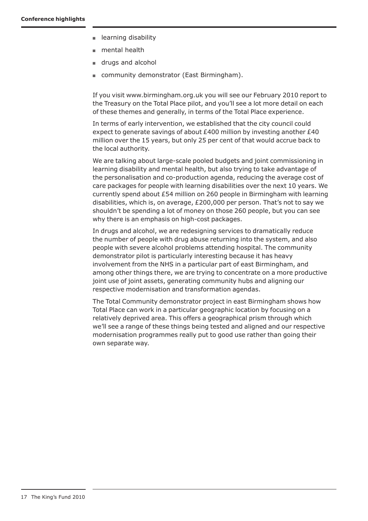- learning disability
- mental health
- drugs and alcohol
- community demonstrator (East Birmingham).

If you visit www.birmingham.org.uk you will see our February 2010 report to the Treasury on the Total Place pilot, and you'll see a lot more detail on each of these themes and generally, in terms of the Total Place experience.

In terms of early intervention, we established that the city council could expect to generate savings of about £400 million by investing another £40 million over the 15 years, but only 25 per cent of that would accrue back to the local authority.

We are talking about large-scale pooled budgets and joint commissioning in learning disability and mental health, but also trying to take advantage of the personalisation and co-production agenda, reducing the average cost of care packages for people with learning disabilities over the next 10 years. We currently spend about £54 million on 260 people in Birmingham with learning disabilities, which is, on average, £200,000 per person. That's not to say we shouldn't be spending a lot of money on those 260 people, but you can see why there is an emphasis on high-cost packages.

In drugs and alcohol, we are redesigning services to dramatically reduce the number of people with drug abuse returning into the system, and also people with severe alcohol problems attending hospital. The community demonstrator pilot is particularly interesting because it has heavy involvement from the NHS in a particular part of east Birmingham, and among other things there, we are trying to concentrate on a more productive joint use of joint assets, generating community hubs and aligning our respective modernisation and transformation agendas.

The Total Community demonstrator project in east Birmingham shows how Total Place can work in a particular geographic location by focusing on a relatively deprived area. This offers a geographical prism through which we'll see a range of these things being tested and aligned and our respective modernisation programmes really put to good use rather than going their own separate way.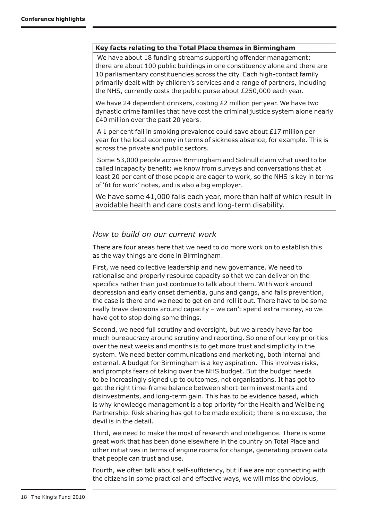### **Key facts relating to the Total Place themes in Birmingham**

 We have about 18 funding streams supporting offender management; there are about 100 public buildings in one constituency alone and there are 10 parliamentary constituencies across the city. Each high-contact family primarily dealt with by children's services and a range of partners, including the NHS, currently costs the public purse about £250,000 each year.

We have 24 dependent drinkers, costing £2 million per year. We have two dynastic crime families that have cost the criminal justice system alone nearly £40 million over the past 20 years.

 A 1 per cent fall in smoking prevalence could save about £17 million per year for the local economy in terms of sickness absence, for example. This is across the private and public sectors.

 Some 53,000 people across Birmingham and Solihull claim what used to be called incapacity benefit; we know from surveys and conversations that at least 20 per cent of those people are eager to work, so the NHS is key in terms of 'fit for work' notes, and is also a big employer.

We have some 41,000 falls each year, more than half of which result in avoidable health and care costs and long-term disability.

# *How to build on our current work*

There are four areas here that we need to do more work on to establish this as the way things are done in Birmingham.

First, we need collective leadership and new governance. We need to rationalise and properly resource capacity so that we can deliver on the specifics rather than just continue to talk about them. With work around depression and early onset dementia, guns and gangs, and falls prevention, the case is there and we need to get on and roll it out. There have to be some really brave decisions around capacity – we can't spend extra money, so we have got to stop doing some things.

Second, we need full scrutiny and oversight, but we already have far too much bureaucracy around scrutiny and reporting. So one of our key priorities over the next weeks and months is to get more trust and simplicity in the system. We need better communications and marketing, both internal and external. A budget for Birmingham is a key aspiration. This involves risks, and prompts fears of taking over the NHS budget. But the budget needs to be increasingly signed up to outcomes, not organisations. It has got to get the right time-frame balance between short-term investments and disinvestments, and long-term gain. This has to be evidence based, which is why knowledge management is a top priority for the Health and Wellbeing Partnership. Risk sharing has got to be made explicit; there is no excuse, the devil is in the detail.

Third, we need to make the most of research and intelligence. There is some great work that has been done elsewhere in the country on Total Place and other initiatives in terms of engine rooms for change, generating proven data that people can trust and use.

Fourth, we often talk about self-sufficiency, but if we are not connecting with the citizens in some practical and effective ways, we will miss the obvious,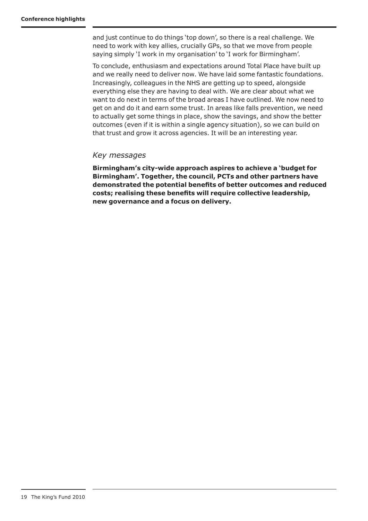and just continue to do things 'top down', so there is a real challenge. We need to work with key allies, crucially GPs, so that we move from people saying simply 'I work in my organisation' to 'I work for Birmingham'.

To conclude, enthusiasm and expectations around Total Place have built up and we really need to deliver now. We have laid some fantastic foundations. Increasingly, colleagues in the NHS are getting up to speed, alongside everything else they are having to deal with. We are clear about what we want to do next in terms of the broad areas I have outlined. We now need to get on and do it and earn some trust. In areas like falls prevention, we need to actually get some things in place, show the savings, and show the better outcomes (even if it is within a single agency situation), so we can build on that trust and grow it across agencies. It will be an interesting year.

### *Key messages*

**Birmingham's city-wide approach aspires to achieve a 'budget for Birmingham'. Together, the council, PCTs and other partners have demonstrated the potential benefits of better outcomes and reduced costs; realising these benefits will require collective leadership, new governance and a focus on delivery.**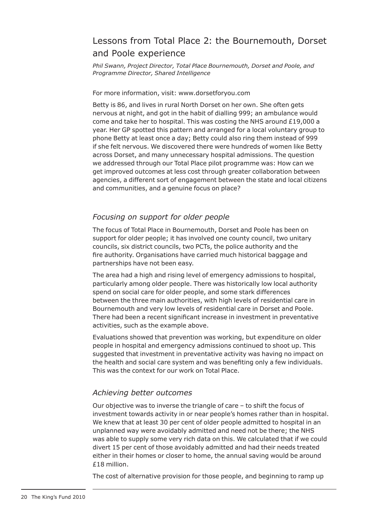# Lessons from Total Place 2: the Bournemouth, Dorset and Poole experience

*Phil Swann, Project Director, Total Place Bournemouth, Dorset and Poole, and Programme Director, Shared Intelligence*

### For more information, visit: www.dorsetforyou.com

Betty is 86, and lives in rural North Dorset on her own. She often gets nervous at night, and got in the habit of dialling 999; an ambulance would come and take her to hospital. This was costing the NHS around £19,000 a year. Her GP spotted this pattern and arranged for a local voluntary group to phone Betty at least once a day; Betty could also ring them instead of 999 if she felt nervous. We discovered there were hundreds of women like Betty across Dorset, and many unnecessary hospital admissions. The question we addressed through our Total Place pilot programme was: How can we get improved outcomes at less cost through greater collaboration between agencies, a different sort of engagement between the state and local citizens and communities, and a genuine focus on place?

### *Focusing on support for older people*

The focus of Total Place in Bournemouth, Dorset and Poole has been on support for older people; it has involved one county council, two unitary councils, six district councils, two PCTs, the police authority and the fire authority. Organisations have carried much historical baggage and partnerships have not been easy.

The area had a high and rising level of emergency admissions to hospital, particularly among older people. There was historically low local authority spend on social care for older people, and some stark differences between the three main authorities, with high levels of residential care in Bournemouth and very low levels of residential care in Dorset and Poole. There had been a recent significant increase in investment in preventative activities, such as the example above.

Evaluations showed that prevention was working, but expenditure on older people in hospital and emergency admissions continued to shoot up. This suggested that investment in preventative activity was having no impact on the health and social care system and was benefiting only a few individuals. This was the context for our work on Total Place.

### *Achieving better outcomes*

Our objective was to inverse the triangle of care – to shift the focus of investment towards activity in or near people's homes rather than in hospital. We knew that at least 30 per cent of older people admitted to hospital in an unplanned way were avoidably admitted and need not be there; the NHS was able to supply some very rich data on this. We calculated that if we could divert 15 per cent of those avoidably admitted and had their needs treated either in their homes or closer to home, the annual saving would be around £18 million.

The cost of alternative provision for those people, and beginning to ramp up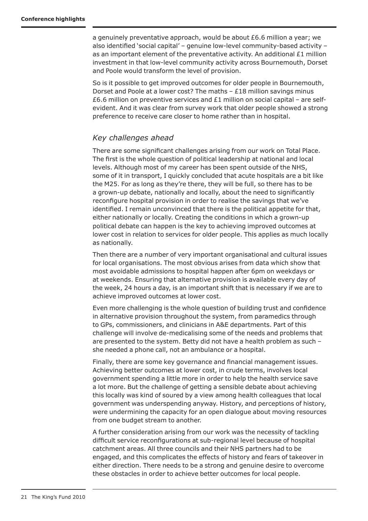a genuinely preventative approach, would be about £6.6 million a year; we also identified 'social capital' – genuine low-level community-based activity – as an important element of the preventative activity. An additional  $£1$  million investment in that low-level community activity across Bournemouth, Dorset and Poole would transform the level of provision.

So is it possible to get improved outcomes for older people in Bournemouth, Dorset and Poole at a lower cost? The maths – £18 million savings minus £6.6 million on preventive services and £1 million on social capital – are selfevident. And it was clear from survey work that older people showed a strong preference to receive care closer to home rather than in hospital.

# *Key challenges ahead*

There are some significant challenges arising from our work on Total Place. The first is the whole question of political leadership at national and local levels. Although most of my career has been spent outside of the NHS, some of it in transport, I quickly concluded that acute hospitals are a bit like the M25. For as long as they're there, they will be full, so there has to be a grown-up debate, nationally and locally, about the need to significantly reconfigure hospital provision in order to realise the savings that we've identified. I remain unconvinced that there is the political appetite for that, either nationally or locally. Creating the conditions in which a grown-up political debate can happen is the key to achieving improved outcomes at lower cost in relation to services for older people. This applies as much locally as nationally.

Then there are a number of very important organisational and cultural issues for local organisations. The most obvious arises from data which show that most avoidable admissions to hospital happen after 6pm on weekdays or at weekends. Ensuring that alternative provision is available every day of the week, 24 hours a day, is an important shift that is necessary if we are to achieve improved outcomes at lower cost.

Even more challenging is the whole question of building trust and confidence in alternative provision throughout the system, from paramedics through to GPs, commissioners, and clinicians in A&E departments. Part of this challenge will involve de-medicalising some of the needs and problems that are presented to the system. Betty did not have a health problem as such – she needed a phone call, not an ambulance or a hospital.

Finally, there are some key governance and financial management issues. Achieving better outcomes at lower cost, in crude terms, involves local government spending a little more in order to help the health service save a lot more. But the challenge of getting a sensible debate about achieving this locally was kind of soured by a view among health colleagues that local government was underspending anyway. History, and perceptions of history, were undermining the capacity for an open dialogue about moving resources from one budget stream to another.

A further consideration arising from our work was the necessity of tackling difficult service reconfigurations at sub-regional level because of hospital catchment areas. All three councils and their NHS partners had to be engaged, and this complicates the effects of history and fears of takeover in either direction. There needs to be a strong and genuine desire to overcome these obstacles in order to achieve better outcomes for local people.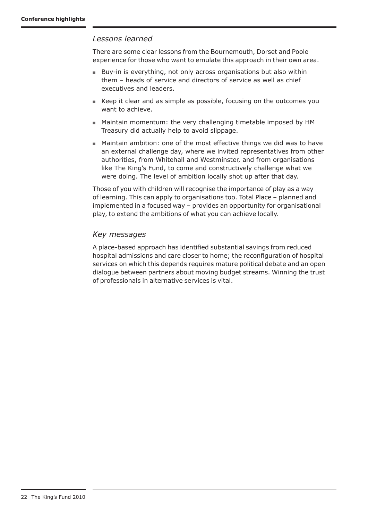# *Lessons learned*

There are some clear lessons from the Bournemouth, Dorset and Poole experience for those who want to emulate this approach in their own area.

- Buy-in is everything, not only across organisations but also within them – heads of service and directors of service as well as chief executives and leaders.
- Keep it clear and as simple as possible, focusing on the outcomes you want to achieve.
- Maintain momentum: the very challenging timetable imposed by HM Treasury did actually help to avoid slippage.
- Maintain ambition: one of the most effective things we did was to have an external challenge day, where we invited representatives from other authorities, from Whitehall and Westminster, and from organisations like The King's Fund, to come and constructively challenge what we were doing. The level of ambition locally shot up after that day.

Those of you with children will recognise the importance of play as a way of learning. This can apply to organisations too. Total Place – planned and implemented in a focused way – provides an opportunity for organisational play, to extend the ambitions of what you can achieve locally.

# *Key messages*

A place-based approach has identified substantial savings from reduced hospital admissions and care closer to home; the reconfiguration of hospital services on which this depends requires mature political debate and an open dialogue between partners about moving budget streams. Winning the trust of professionals in alternative services is vital.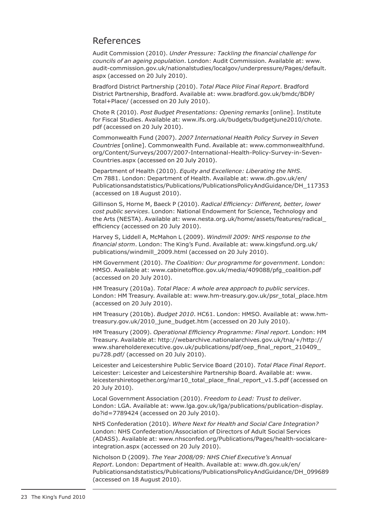# References

Audit Commission (2010). *Under Pressure: Tackling the financial challenge for councils of an ageing population*. London: Audit Commission. Available at: www. audit-commission.gov.uk/nationalstudies/localgov/underpressure/Pages/default. aspx (accessed on 20 July 2010).

Bradford District Partnership (2010). *Total Place Pilot Final Report*. Bradford District Partnership, Bradford. Available at: www.bradford.gov.uk/bmdc/BDP/ Total+Place/ (accessed on 20 July 2010).

Chote R (2010). *Post Budget Presentations: Opening remarks* [online]. Institute for Fiscal Studies. Available at: www.ifs.org.uk/budgets/budgetjune2010/chote. pdf (accessed on 20 July 2010).

Commonwealth Fund (2007). *2007 International Health Policy Survey in Seven Countries* [online]. Commonwealth Fund. Available at: www.commonwealthfund. org/Content/Surveys/2007/2007-International-Health-Policy-Survey-in-Seven-Countries.aspx (accessed on 20 July 2010).

Department of Health (2010). *Equity and Excellence: Liberating the NHS*. Cm 7881. London: Department of Health. Available at: www.dh.gov.uk/en/ Publicationsandstatistics/Publications/PublicationsPolicyAndGuidance/DH\_117353 (accessed on 18 August 2010).

Gillinson S, Horne M, Baeck P (2010). *Radical Efficiency: Different, better, lower cost public services*. London: National Endowment for Science, Technology and the Arts (NESTA). Available at: www.nesta.org.uk/home/assets/features/radical\_ efficiency (accessed on 20 July 2010).

Harvey S, Liddell A, McMahon L (2009). *Windmill 2009: NHS response to the financial storm*. London: The King's Fund. Available at: www.kingsfund.org.uk/ publications/windmill\_2009.html (accessed on 20 July 2010).

HM Government (2010). *The Coalition: Our programme for government*. London: HMSO. Available at: www.cabinetoffice.gov.uk/media/409088/pfg\_coalition.pdf (accessed on 20 July 2010).

HM Treasury (2010a). *Total Place: A whole area approach to public services*. London: HM Treasury. Available at: www.hm-treasury.gov.uk/psr\_total\_place.htm (accessed on 20 July 2010).

HM Treasury (2010b). *Budget 2010*. HC61. London: HMSO. Available at: www.hmtreasury.gov.uk/2010\_june\_budget.htm (accessed on 20 July 2010).

HM Treasury (2009). *Operational Efficiency Programme: Final report*. London: HM Treasury. Available at: http://webarchive.nationalarchives.gov.uk/tna/+/http:// www.shareholderexecutive.gov.uk/publications/pdf/oep\_final\_report\_210409\_ pu728.pdf/ (accessed on 20 July 2010).

Leicester and Leicestershire Public Service Board (2010). *Total Place Final Report*. Leicester: Leicester and Leicestershire Partnership Board. Available at: www. leicestershiretogether.org/mar10\_total\_place\_final\_report\_v1.5.pdf (accessed on 20 July 2010).

Local Government Association (2010). *Freedom to Lead: Trust to deliver*. London: LGA. Available at: www.lga.gov.uk/lga/publications/publication-display. do?id=7789424 (accessed on 20 July 2010).

NHS Confederation (2010). *Where Next for Health and Social Care Integration?* London: NHS Confederation/Association of Directors of Adult Social Services (ADASS). Available at: www.nhsconfed.org/Publications/Pages/health-socialcareintegration.aspx (accessed on 20 July 2010).

Nicholson D (2009). *The Year 2008/09: NHS Chief Executive's Annual Report*. London: Department of Health. Available at: www.dh.gov.uk/en/ Publicationsandstatistics/Publications/PublicationsPolicyAndGuidance/DH\_099689 (accessed on 18 August 2010).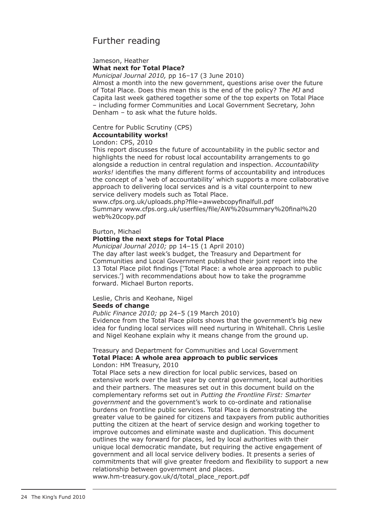# Further reading

### Jameson, Heather **What next for Total Place?**

*Municipal Journal 2010,* pp 16–17 (3 June 2010)

Almost a month into the new government, questions arise over the future of Total Place. Does this mean this is the end of the policy? *The MJ* and Capita last week gathered together some of the top experts on Total Place – including former Communities and Local Government Secretary, John Denham – to ask what the future holds.

### Centre for Public Scrutiny (CPS) **Accountability works!**

### London: CPS, 2010

This report discusses the future of accountability in the public sector and highlights the need for robust local accountability arrangements to go alongside a reduction in central regulation and inspection. *Accountability works!* identifies the many different forms of accountability and introduces the concept of a 'web of accountability' which supports a more collaborative approach to delivering local services and is a vital counterpoint to new service delivery models such as Total Place.

www.cfps.org.uk/uploads.php?file=awwebcopyfinalfull.pdf Summary www.cfps.org.uk/userfiles/file/AW%20summary%20final%20 web%20copy.pdf

### Burton, Michael

### **Plotting the next steps for Total Place**

*Municipal Journal 2010;* pp 14–15 (1 April 2010)

The day after last week's budget, the Treasury and Department for Communities and Local Government published their joint report into the 13 Total Place pilot findings ['Total Place: a whole area approach to public services.'] with recommendations about how to take the programme forward. Michael Burton reports.

### Leslie, Chris and Keohane, Nigel

### **Seeds of change**

*Public Finance 2010;* pp 24–5 (19 March 2010)

Evidence from the Total Place pilots shows that the government's big new idea for funding local services will need nurturing in Whitehall. Chris Leslie and Nigel Keohane explain why it means change from the ground up.

### Treasury and Department for Communities and Local Government **Total Place: A whole area approach to public services** London: HM Treasury, 2010

Total Place sets a new direction for local public services, based on extensive work over the last year by central government, local authorities and their partners. The measures set out in this document build on the complementary reforms set out in *Putting the Frontline First: Smarter government* and the government's work to co-ordinate and rationalise burdens on frontline public services. Total Place is demonstrating the greater value to be gained for citizens and taxpayers from public authorities putting the citizen at the heart of service design and working together to improve outcomes and eliminate waste and duplication. This document outlines the way forward for places, led by local authorities with their unique local democratic mandate, but requiring the active engagement of government and all local service delivery bodies. It presents a series of commitments that will give greater freedom and flexibility to support a new relationship between government and places.

www.hm-treasury.gov.uk/d/total\_place\_report.pdf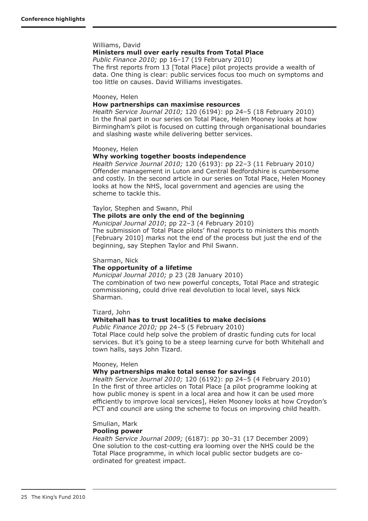### Williams, David

### **Ministers mull over early results from Total Place**

*Public Finance 2010;* pp 16–17 (19 February 2010) The first reports from 13 [Total Place] pilot projects provide a wealth of data. One thing is clear: public services focus too much on symptoms and too little on causes. David Williams investigates.

#### Mooney, Helen

### **How partnerships can maximise resources**

*Health Service Journal 2010;* 120 (6194): pp 24–5 (18 February 2010) In the final part in our series on Total Place, Helen Mooney looks at how Birmingham's pilot is focused on cutting through organisational boundaries and slashing waste while delivering better services.

#### Mooney, Helen

### **Why working together boosts independence**

*Health Service Journal 2010;* 120 (6193): pp 22–3 (11 February 2010*)*  Offender management in Luton and Central Bedfordshire is cumbersome and costly. In the second article in our series on Total Place, Helen Mooney looks at how the NHS, local government and agencies are using the scheme to tackle this.

#### Taylor, Stephen and Swann, Phil

### **The pilots are only the end of the beginning**

*Municipal Journal 2010*; pp 22–3 (4 February 2010)

The submission of Total Place pilots' final reports to ministers this month [February 2010] marks not the end of the process but just the end of the beginning, say Stephen Taylor and Phil Swann.

#### Sharman, Nick

### **The opportunity of a lifetime**

*Municipal Journal 2010;* p 23 (28 January 2010) The combination of two new powerful concepts, Total Place and strategic commissioning, could drive real devolution to local level, says Nick Sharman.

Tizard, John

### **Whitehall has to trust localities to make decisions**

*Public Finance 2010;* pp 24–5 (5 February 2010) Total Place could help solve the problem of drastic funding cuts for local services. But it's going to be a steep learning curve for both Whitehall and town halls, says John Tizard.

#### Mooney, Helen

#### **Why partnerships make total sense for savings**

*Health Service Journal 2010;* 120 (6192): pp 24–5 (4 February 2010) In the first of three articles on Total Place [a pilot programme looking at how public money is spent in a local area and how it can be used more efficiently to improve local services], Helen Mooney looks at how Croydon's PCT and council are using the scheme to focus on improving child health.

### Smulian, Mark

### **Pooling power**

*Health Service Journal 2009;* (6187): pp 30–31 (17 December 2009) One solution to the cost-cutting era looming over the NHS could be the Total Place programme, in which local public sector budgets are coordinated for greatest impact.